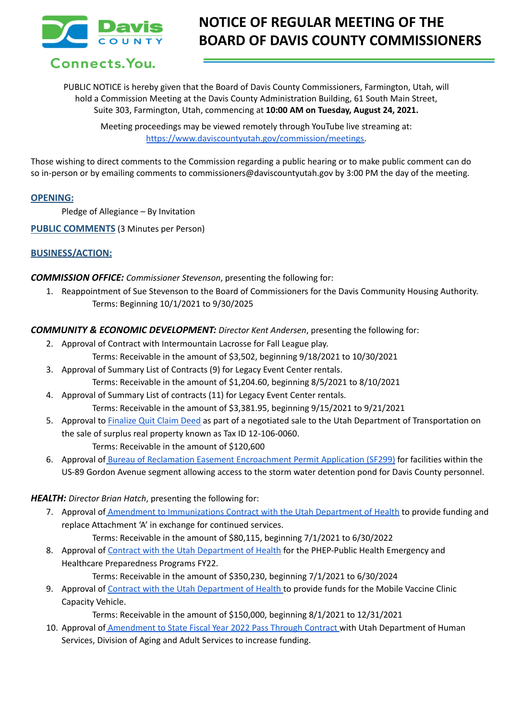

# **NOTICE OF REGULAR MEETING OF THE BOARD OF DAVIS COUNTY COMMISSIONERS**

# Connects. You.

PUBLIC NOTICE is hereby given that the Board of Davis County Commissioners, Farmington, Utah, will hold a Commission Meeting at the Davis County Administration Building, 61 South Main Street, Suite 303, Farmington, Utah, commencing at **10:00 AM on Tuesday, August 24, 2021.**

Meeting proceedings may be viewed remotely through YouTube live streaming at: [https://www.daviscountyutah.gov/commission/meetings.](https://www.daviscountyutah.gov/commission/meetings)

Those wishing to direct comments to the Commission regarding a public hearing or to make public comment can do so in-person or by emailing comments to commissioners@daviscountyutah.gov by 3:00 PM the day of the meeting.

#### **OPENING:**

Pledge of Allegiance – By Invitation

**PUBLIC COMMENTS** (3 Minutes per Person)

## **BUSINESS/ACTION:**

#### *COMMISSION OFFICE: Commissioner Stevenson*, presenting the following for:

1. Reappointment of Sue Stevenson to the Board of Commissioners for the Davis Community Housing Authority. Terms: Beginning 10/1/2021 to 9/30/2025

#### *COMMUNITY & ECONOMIC DEVELOPMENT: Director Kent Andersen*, presenting the following for:

- 2. Approval of Contract with Intermountain Lacrosse for Fall League play. Terms: Receivable in the amount of \$3,502, beginning 9/18/2021 to 10/30/2021
- 3. Approval of Summary List of Contracts (9) for Legacy Event Center rentals. Terms: Receivable in the amount of \$1,204.60, beginning 8/5/2021 to 8/10/2021
- 4. Approval of Summary List of contracts (11) for Legacy Event Center rentals. Terms: Receivable in the amount of \$3,381.95, beginning 9/15/2021 to 9/21/2021
- 5. Approval to [Finalize](https://drive.google.com/file/d/1yimzfj_fI2fNbC_5jbPYMEUD3M8CMXNu/view?usp=sharing) Quit Claim Deed as part of a negotiated sale to the Utah Department of Transportation on the sale of surplus real property known as Tax ID 12-106-0060. Terms: Receivable in the amount of \$120,600
- 6. Approval of Bureau of Reclamation Easement [Encroachment](https://drive.google.com/file/d/1lWZNAmyfaU7wfm7kobPUyghIvSI83TCA/view?usp=sharing) Permit Application (SF299) for facilities within the US-89 Gordon Avenue segment allowing access to the storm water detention pond for Davis County personnel.

### *HEALTH: Director Brian Hatch*, presenting the following for:

- 7. Approval of Amendment to [Immunizations](https://drive.google.com/file/d/1tYGPGqDOwbei2tShY5EJeIN9QYNpV0WH/view?usp=sharing) Contract with the Utah Department of Health to provide funding and replace Attachment 'A' in exchange for continued services.
	- Terms: Receivable in the amount of \$80,115, beginning 7/1/2021 to 6/30/2022
- 8. Approval of Contract with the Utah [Department](https://drive.google.com/file/d/1sQTJYB8oqIdOKzWO8B1g0n58VPyp-Q58/view?usp=sharing) of Health for the PHEP-Public Health Emergency and Healthcare Preparedness Programs FY22.

Terms: Receivable in the amount of \$350,230, beginning 7/1/2021 to 6/30/2024

9. Approval of Contract with the Utah [Department](https://drive.google.com/file/d/1oeLpb42KtgwKat5IL-5kR1gLaqwg1BaG/view?usp=sharing) of Health to provide funds for the Mobile Vaccine Clinic Capacity Vehicle.

Terms: Receivable in the amount of \$150,000, beginning 8/1/2021 to 12/31/2021

10. Approval of [Amendment](https://drive.google.com/file/d/1IPoVZ3z-YCg5qzZXZfJaStVONxpT4Y3N/view?usp=sharing) to State Fiscal Year 2022 Pass Through Contract with Utah Department of Human Services, Division of Aging and Adult Services to increase funding.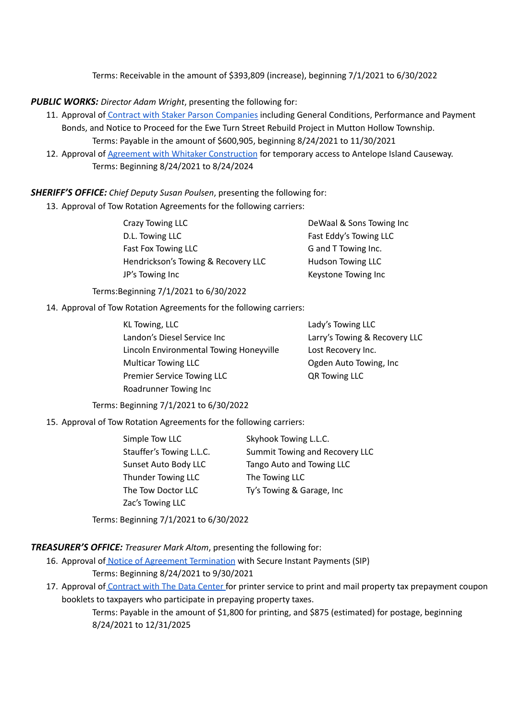Terms: Receivable in the amount of \$393,809 (increase), beginning 7/1/2021 to 6/30/2022

#### *PUBLIC WORKS: Director Adam Wright*, presenting the following for:

- 11. Approval of Contract with Staker Parson [Companies](https://drive.google.com/file/d/10MyiTDee1C4IBnZrGv3FH02FybQL_kve/view?usp=sharing) including General Conditions, Performance and Payment Bonds, and Notice to Proceed for the Ewe Turn Street Rebuild Project in Mutton Hollow Township.
- Terms: Payable in the amount of \$600,905, beginning 8/24/2021 to 11/30/2021 12. Approval of Agreement with Whitaker [Construction](https://drive.google.com/file/d/1hYDvdIUJmjbi8GzNXWMtIOmNeSe1j0bn/view?usp=sharing) for temporary access to Antelope Island Causeway. Terms: Beginning 8/24/2021 to 8/24/2024

*SHERIFF'S OFFICE: Chief Deputy Susan Poulsen*, presenting the following for:

13. Approval of Tow Rotation Agreements for the following carriers:

| Crazy Towing LLC                    | DeWaal & Sons Towing Inc |
|-------------------------------------|--------------------------|
| D.L. Towing LLC                     | Fast Eddy's Towing LLC   |
| Fast Fox Towing LLC                 | G and T Towing Inc.      |
| Hendrickson's Towing & Recovery LLC | Hudson Towing LLC        |
| JP's Towing Inc                     | Keystone Towing Inc      |
|                                     |                          |

Terms:Beginning 7/1/2021 to 6/30/2022

14. Approval of Tow Rotation Agreements for the following carriers:

| KL Towing, LLC                          | Lady's Towing LLC             |
|-----------------------------------------|-------------------------------|
| Landon's Diesel Service Inc             | Larry's Towing & Recovery LLC |
| Lincoln Environmental Towing Honeyville | Lost Recovery Inc.            |
| <b>Multicar Towing LLC</b>              | Ogden Auto Towing, Inc.       |
| Premier Service Towing LLC              | <b>QR Towing LLC</b>          |
| Roadrunner Towing Inc                   |                               |

Terms: Beginning 7/1/2021 to 6/30/2022

15. Approval of Tow Rotation Agreements for the following carriers:

| Simple Tow LLC            | Skyhook Towing L.L.C.          |
|---------------------------|--------------------------------|
| Stauffer's Towing L.L.C.  | Summit Towing and Recovery LLC |
| Sunset Auto Body LLC      | Tango Auto and Towing LLC      |
| <b>Thunder Towing LLC</b> | The Towing LLC                 |
| The Tow Doctor LLC        | Ty's Towing & Garage, Inc      |
| Zac's Towing LLC          |                                |

Terms: Beginning 7/1/2021 to 6/30/2022

#### *TREASURER'S OFFICE: Treasurer Mark Altom*, presenting the following for:

- 16. Approval of Notice of Agreement [Termination](https://drive.google.com/file/d/1uTf2ySlj3Qtedaa1fXoNEAKVVk59UnJP/view?usp=sharing) with Secure Instant Payments (SIP) Terms: Beginning 8/24/2021 to 9/30/2021
- 17. Approval of [Contract](https://drive.google.com/file/d/1cwyokSZo3xPCj_wSUzxDGIzbmH-G4neH/view?usp=sharing) with The Data Center for printer service to print and mail property tax prepayment coupon booklets to taxpayers who participate in prepaying property taxes.

Terms: Payable in the amount of \$1,800 for printing, and \$875 (estimated) for postage, beginning 8/24/2021 to 12/31/2025